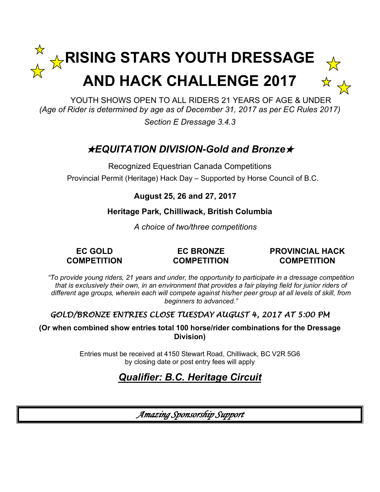# **RISING STARS YOUTH DRESSAGE AND HACK CHALLENGE 2017**  $\star$   $\downarrow$

YOUTH SHOWS OPEN TO ALL RIDERS 21 YEARS OF AGE & UNDER *(Age of Rider is determined by age as of December 31, 2017 as per EC Rules 2017)*

*Section E Dressage 3.4.3*

# ★*EQUITATION DIVISION-Gold and Bronze*★

Recognized Equestrian Canada Competitions Provincial Permit (Heritage) Hack Day – Supported by Horse Council of B.C.

**August 25, 26 and 27, 2017**

**Heritage Park, Chilliwack, British Columbia**

*A choice of two/three competitions*

**EC GOLD COMPETITION**

**EC BRONZE COMPETITION** **PROVINCIAL HACK COMPETITION**

*"To provide young riders, 21 years and under, the opportunity to participate in a dressage competition that is exclusively their own, in an environment that provides a fair playing field for junior riders of different age groups, wherein each will compete against his/her peer group at all levels of skill, from beginners to advanced."*

### *GOLD/BRONZE ENTRIES CLOSE TUESDAY AUGUST 4, 2017 AT 5:00 PM*

**(Or when combined show entries total 100 horse/rider combinations for the Dressage Division)**

> Entries must be received at 4150 Stewart Road, Chilliwack, BC V2R 5G6 by closing date or post entry fees will apply

# *Qualifier: B.C. Heritage Circuit*

*Amazing Sponsorship Support*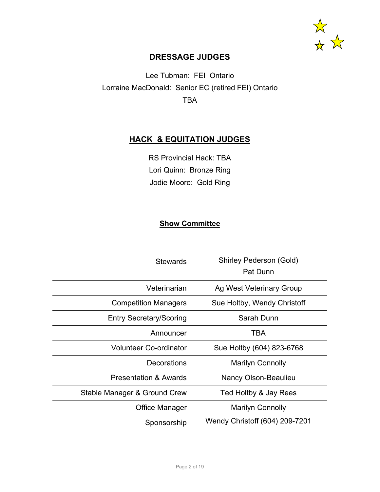

#### **DRESSAGE JUDGES**

Lee Tubman: FEI Ontario Lorraine MacDonald: Senior EC (retired FEI) Ontario TBA

#### **HACK & EQUITATION JUDGES**

RS Provincial Hack: TBA Lori Quinn: Bronze Ring Jodie Moore: Gold Ring

#### **Show Committee**

| <b>Stewards</b>                | Shirley Pederson (Gold)<br>Pat Dunn |
|--------------------------------|-------------------------------------|
| Veterinarian                   | Ag West Veterinary Group            |
| <b>Competition Managers</b>    | Sue Holtby, Wendy Christoff         |
| <b>Entry Secretary/Scoring</b> | Sarah Dunn                          |
| Announcer                      | TBA                                 |
| Volunteer Co-ordinator         | Sue Holtby (604) 823-6768           |
| <b>Decorations</b>             | Marilyn Connolly                    |
| Presentation & Awards          | Nancy Olson-Beaulieu                |
| Stable Manager & Ground Crew   | Ted Holtby & Jay Rees               |
| <b>Office Manager</b>          | <b>Marilyn Connolly</b>             |
| Sponsorship                    | Wendy Christoff (604) 209-7201      |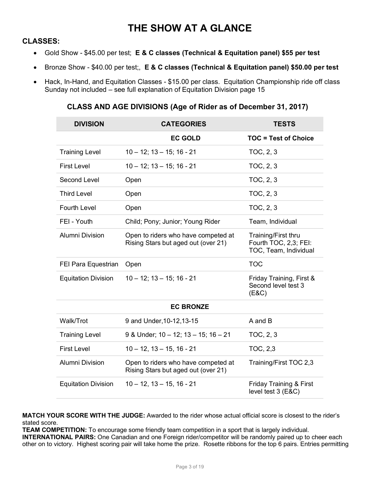# **THE SHOW AT A GLANCE**

#### **CLASSES:**

- Gold Show \$45.00 per test; **E & C classes (Technical & Equitation panel) \$55 per test**
- Bronze Show \$40.00 per test;, **E & C classes (Technical & Equitation panel) \$50.00 per test**
- Hack, In-Hand, and Equitation Classes \$15.00 per class. Equitation Championship ride off class Sunday not included – see full explanation of Equitation Division page 15

| <b>DIVISION</b>            | <b>CATEGORIES</b>                                                          | <b>TESTS</b>                                                          |
|----------------------------|----------------------------------------------------------------------------|-----------------------------------------------------------------------|
|                            | <b>EC GOLD</b>                                                             | <b>TOC = Test of Choice</b>                                           |
| <b>Training Level</b>      | $10 - 12$ ; $13 - 15$ ; $16 - 21$                                          | TOC, 2, 3                                                             |
| <b>First Level</b>         | $10 - 12$ ; $13 - 15$ ; $16 - 21$                                          | TOC, 2, 3                                                             |
| Second Level               | Open                                                                       | TOC, 2, 3                                                             |
| <b>Third Level</b>         | Open                                                                       | TOC, 2, 3                                                             |
| <b>Fourth Level</b>        | Open                                                                       | TOC, 2, 3                                                             |
| FEI - Youth                | Child; Pony; Junior; Young Rider                                           | Team, Individual                                                      |
| <b>Alumni Division</b>     | Open to riders who have competed at<br>Rising Stars but aged out (over 21) | Training/First thru<br>Fourth TOC, 2,3; FEI:<br>TOC, Team, Individual |
| FEI Para Equestrian        | Open                                                                       | <b>TOC</b>                                                            |
| <b>Equitation Division</b> | $10 - 12$ ; $13 - 15$ ; $16 - 21$                                          | Friday Training, First &<br>Second level test 3<br>(EGC)              |
|                            | <b>EC BRONZE</b>                                                           |                                                                       |
| Walk/Trot                  | 9 and Under, 10-12, 13-15                                                  | A and B                                                               |
| <b>Training Level</b>      | $9$ & Under; $10 - 12$ ; $13 - 15$ ; $16 - 21$                             | TOC, 2, 3                                                             |
| <b>First Level</b>         | $10 - 12$ , $13 - 15$ , $16 - 21$                                          | TOC, 2,3                                                              |
| <b>Alumni Division</b>     | Open to riders who have competed at<br>Rising Stars but aged out (over 21) | Training/First TOC 2,3                                                |
| <b>Equitation Division</b> | $10 - 12$ , $13 - 15$ , $16 - 21$                                          | <b>Friday Training &amp; First</b><br>level test 3 (E&C)              |

#### **CLASS AND AGE DIVISIONS (Age of Rider as of December 31, 2017)**

**MATCH YOUR SCORE WITH THE JUDGE:** Awarded to the rider whose actual official score is closest to the rider's stated score.

**TEAM COMPETITION:** To encourage some friendly team competition in a sport that is largely individual. **INTERNATIONAL PAIRS:** One Canadian and one Foreign rider/competitor will be randomly paired up to cheer each other on to victory. Highest scoring pair will take home the prize. Rosette ribbons for the top 6 pairs. Entries permitting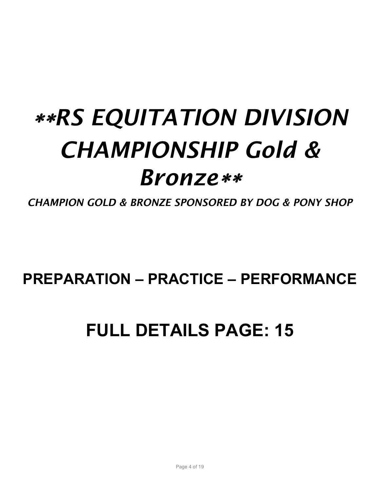# \*\**RS EQUITATION DIVISION CHAMPIONSHIP Gold & Bronze*\*\*

*CHAMPION GOLD & BRONZE SPONSORED BY DOG & PONY SHOP*

# **PREPARATION – PRACTICE – PERFORMANCE**

# **FULL DETAILS PAGE: 15**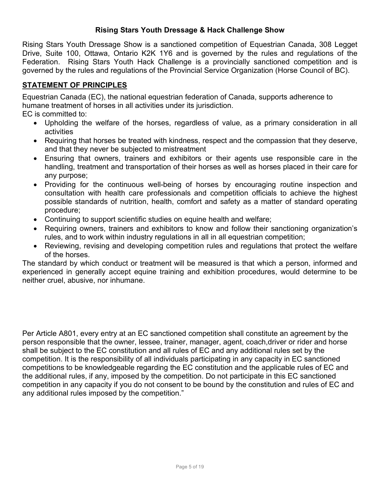#### **Rising Stars Youth Dressage & Hack Challenge Show**

Rising Stars Youth Dressage Show is a sanctioned competition of Equestrian Canada, 308 Legget Drive, Suite 100, Ottawa, Ontario K2K 1Y6 and is governed by the rules and regulations of the Federation. Rising Stars Youth Hack Challenge is a provincially sanctioned competition and is governed by the rules and regulations of the Provincial Service Organization (Horse Council of BC).

#### **STATEMENT OF PRINCIPLES**

Equestrian Canada (EC), the national equestrian federation of Canada, supports adherence to humane treatment of horses in all activities under its jurisdiction. EC is committed to:

- Upholding the welfare of the horses, regardless of value, as a primary consideration in all activities
- Requiring that horses be treated with kindness, respect and the compassion that they deserve, and that they never be subjected to mistreatment
- Ensuring that owners, trainers and exhibitors or their agents use responsible care in the handling, treatment and transportation of their horses as well as horses placed in their care for any purpose;
- Providing for the continuous well-being of horses by encouraging routine inspection and consultation with health care professionals and competition officials to achieve the highest possible standards of nutrition, health, comfort and safety as a matter of standard operating procedure;
- Continuing to support scientific studies on equine health and welfare;
- Requiring owners, trainers and exhibitors to know and follow their sanctioning organization's rules, and to work within industry regulations in all in all equestrian competition;
- Reviewing, revising and developing competition rules and regulations that protect the welfare of the horses.

The standard by which conduct or treatment will be measured is that which a person, informed and experienced in generally accept equine training and exhibition procedures, would determine to be neither cruel, abusive, nor inhumane.

Per Article A801, every entry at an EC sanctioned competition shall constitute an agreement by the person responsible that the owner, lessee, trainer, manager, agent, coach,driver or rider and horse shall be subject to the EC constitution and all rules of EC and any additional rules set by the competition. It is the responsibility of all individuals participating in any capacity in EC sanctioned competitions to be knowledgeable regarding the EC constitution and the applicable rules of EC and the additional rules, if any, imposed by the competition. Do not participate in this EC sanctioned competition in any capacity if you do not consent to be bound by the constitution and rules of EC and any additional rules imposed by the competition."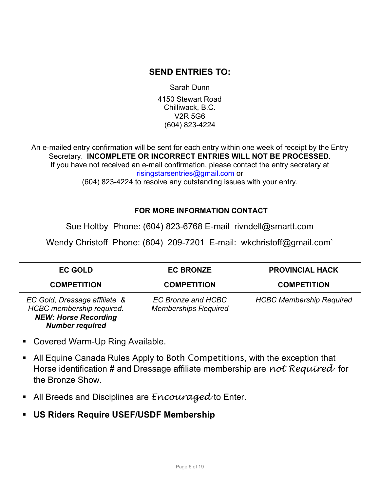#### **SEND ENTRIES TO:**

Sarah Dunn

4150 Stewart Road Chilliwack, B.C. V2R 5G6 (604) 823-4224

An e-mailed entry confirmation will be sent for each entry within one week of receipt by the Entry Secretary. **INCOMPLETE OR INCORRECT ENTRIES WILL NOT BE PROCESSED**. If you have not received an e-mail confirmation, please contact the entry secretary at risingstarsentries@gmail.com or (604) 823-4224 to resolve any outstanding issues with your entry.

#### **FOR MORE INFORMATION CONTACT**

Sue Holtby Phone: (604) 823-6768 E-mail rivndell@smartt.com

Wendy Christoff Phone: (604) 209-7201 E-mail: wkchristoff@gmail.com

| <b>EC GOLD</b>                                                                                                      | <b>EC BRONZE</b>                                         | <b>PROVINCIAL HACK</b>          |
|---------------------------------------------------------------------------------------------------------------------|----------------------------------------------------------|---------------------------------|
| <b>COMPETITION</b>                                                                                                  | <b>COMPETITION</b>                                       | <b>COMPETITION</b>              |
| EC Gold, Dressage affiliate &<br>HCBC membership required.<br><b>NEW: Horse Recording</b><br><b>Number required</b> | <b>EC Bronze and HCBC</b><br><b>Memberships Required</b> | <b>HCBC Membership Required</b> |

- § Covered Warm-Up Ring Available.
- All Equine Canada Rules Apply to Both Competitions, with the exception that Horse identification # and Dressage affiliate membership are *not Required* for the Bronze Show.
- All Breeds and Disciplines are *Encouraged* to Enter.
- § **US Riders Require USEF/USDF Membership**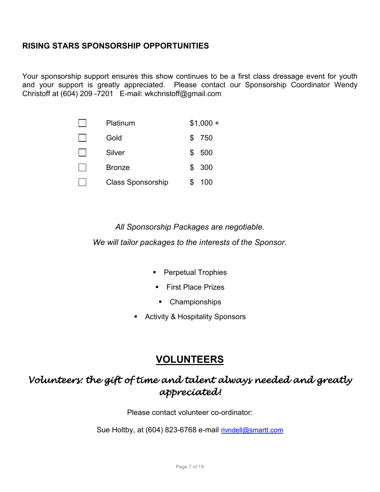#### **RISING STARS SPONSORSHIP OPPORTUNITIES**

Your sponsorship support ensures this show continues to be a first class dressage event for youth and your support is greatly appreciated. Please contact our Sponsorship Coordinator Wendy Christoff at (604) 209 -7201 E-mail: wkchristoff@gmail.com

| Platinum                 |    | $$1,000 +$ |
|--------------------------|----|------------|
| Gold                     | \$ | 750        |
| Silver                   | \$ | 500        |
| <b>Bronze</b>            | \$ | 300        |
| <b>Class Sponsorship</b> | S. | 100        |

*All Sponsorship Packages are negotiable. We will tailor packages to the interests of the Sponsor.*

- Perpetual Trophies
- First Place Prizes
- § Championships
- § Activity & Hospitality Sponsors

### **VOLUNTEERS**

### *Volunteers: the gift of time and talent always needed and greatly appreciated!*

Please contact volunteer co-ordinator:

Sue Holtby, at (604) 823-6768 e-mail rivndell@smartt.com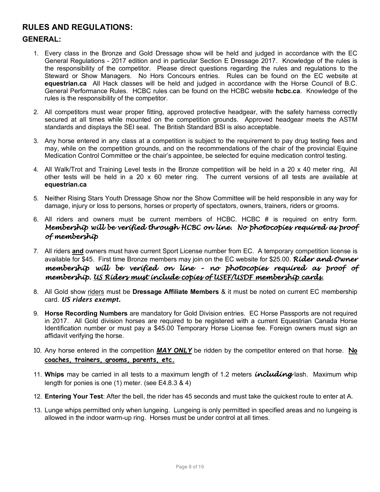#### **RULES AND REGULATIONS:**

#### **GENERAL:**

- 1. Every class in the Bronze and Gold Dressage show will be held and judged in accordance with the EC General Regulations - 2017 edition and in particular Section E Dressage 2017. Knowledge of the rules is the responsibility of the competitor. Please direct questions regarding the rules and regulations to the Steward or Show Managers. No Hors Concours entries. Rules can be found on the EC website at **equestrian.ca** All Hack classes will be held and judged in accordance with the Horse Council of B.C. General Performance Rules. HCBC rules can be found on the HCBC website **hcbc.ca**. Knowledge of the rules is the responsibility of the competitor.
- 2. All competitors must wear proper fitting, approved protective headgear, with the safety harness correctly secured at all times while mounted on the competition grounds. Approved headgear meets the ASTM standards and displays the SEI seal. The British Standard BSI is also acceptable.
- 3. Any horse entered in any class at a competition is subject to the requirement to pay drug testing fees and may, while on the competition grounds, and on the recommendations of the chair of the provincial Equine Medication Control Committee or the chair's appointee, be selected for equine medication control testing.
- 4. All Walk/Trot and Training Level tests in the Bronze competition will be held in a 20 x 40 meter ring, All other tests will be held in a 20 x 60 meter ring. The current versions of all tests are available at **equestrian.ca**
- 5. Neither Rising Stars Youth Dressage Show nor the Show Committee will be held responsible in any way for damage, injury or loss to persons, horses or property of spectators, owners, trainers, riders or grooms.
- 6. All riders and owners must be current members of HCBC. HCBC # is required on entry form. *Membership will be verified through HCBC on line. No photocopies required as proof of membership*
- 7. All riders **and** owners must have current Sport License number from EC. A temporary competition license is available for \$45. First time Bronze members may join on the EC website for \$25.00. *Rider and Owner membership will be verified on line – no photocopies required as proof of membership. US Riders must include copies of USEF/USDF membership cards.*
- 8. All Gold show riders must be **Dressage Affiliate Members** & it must be noted on current EC membership card. *US riders exempt.*
- 9. **Horse Recording Numbers** are mandatory for Gold Division entries. EC Horse Passports are not required in 2017. All Gold division horses are required to be registered with a current Equestrian Canada Horse Identification number or must pay a \$45.00 Temporary Horse License fee. Foreign owners must sign an affidavit verifying the horse.
- 10. Any horse entered in the competition *MAY ONLY* be ridden by the competitor entered on that horse. **No coaches, trainers, grooms, parents, etc.**
- 11. **Whips** may be carried in all tests to a maximum length of 1.2 meters *including* lash. Maximum whip length for ponies is one (1) meter. (see E4.8.3 & 4)
- 12. **Entering Your Test**: After the bell, the rider has 45 seconds and must take the quickest route to enter at A.
- 13. Lunge whips permitted only when lungeing. Lungeing is only permitted in specified areas and no lungeing is allowed in the indoor warm-up ring. Horses must be under control at all times.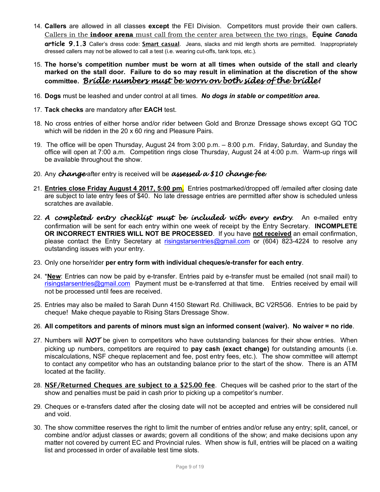- 14. **Callers** are allowed in all classes **except** the FEI Division. Competitors must provide their own callers. Callers in the **indoor arena** must call from the center area between the two rings. **Equine Canada article 9.1.3** Caller's dress code: Smart casual. Jeans, slacks and mid length shorts are permitted. Inappropriately dressed callers may not be allowed to call a test (i.e. wearing cut-offs, tank tops, etc.).
- 15. **The horse's competition number must be worn at all times when outside of the stall and clearly marked on the stall door. Failure to do so may result in elimination at the discretion of the show committee.** *Bridle numbers must be worn on both sides of the bridle!*
- 16. **Dogs** must be leashed and under control at all times. *No dogs in stable or competition area.*
- 17. **Tack checks** are mandatory after **EACH** test.
- 18. No cross entries of either horse and/or rider between Gold and Bronze Dressage shows except GQ TOC which will be ridden in the 20 x 60 ring and Pleasure Pairs.
- 19. The office will be open Thursday, August 24 from 3:00 p.m. 8:00 p.m. Friday, Saturday, and Sunday the office will open at 7:00 a.m. Competition rings close Thursday, August 24 at 4:00 p.m. Warm-up rings will be available throughout the show.
- 20. Any *change* after entry is received will be *assessed a \$10 change fee*.
- 21. **Entries close Friday August 4 2017, 5:00 pm.** Entries postmarked/dropped off /emailed after closing date are subject to late entry fees of \$40. No late dressage entries are permitted after show is scheduled unless scratches are available.
- 22. *A completed entry checklist must be included with every entry*. An e-mailed entry confirmation will be sent for each entry within one week of receipt by the Entry Secretary. **INCOMPLETE OR INCORRECT ENTRIES WILL NOT BE PROCESSED**. If you have **not received** an email confirmation, please contact the Entry Secretary at risingstarsentries@gmail.com or (604) 823-4224 to resolve any outstanding issues with your entry.
- 23. Only one horse/rider **per entry form with individual cheques/e-transfer for each entry**.
- 24. \***New**: Entries can now be paid by e-transfer. Entries paid by e-transfer must be emailed (not snail mail) to risingstarsentries@gmail.com Payment must be e-transferred at that time. Entries received by email will not be processed until fees are received.
- 25. Entries may also be mailed to Sarah Dunn 4150 Stewart Rd. Chilliwack, BC V2R5G6. Entries to be paid by cheque! Make cheque payable to Rising Stars Dressage Show.
- 26. **All competitors and parents of minors must sign an informed consent (waiver). No waiver = no ride**.
- 27. Numbers will *NOT* be given to competitors who have outstanding balances for their show entries. When picking up numbers, competitors are required to **pay cash (exact change)** for outstanding amounts (i.e. miscalculations, NSF cheque replacement and fee, post entry fees, etc.). The show committee will attempt to contact any competitor who has an outstanding balance prior to the start of the show. There is an ATM located at the facility.
- 28. NSF/Returned Cheques are subject to a \$25.00 fee. Cheques will be cashed prior to the start of the show and penalties must be paid in cash prior to picking up a competitor's number.
- 29. Cheques or e-transfers dated after the closing date will not be accepted and entries will be considered null and void.
- 30. The show committee reserves the right to limit the number of entries and/or refuse any entry; split, cancel, or combine and/or adjust classes or awards; govern all conditions of the show; and make decisions upon any matter not covered by current EC and Provincial rules. When show is full, entries will be placed on a waiting list and processed in order of available test time slots.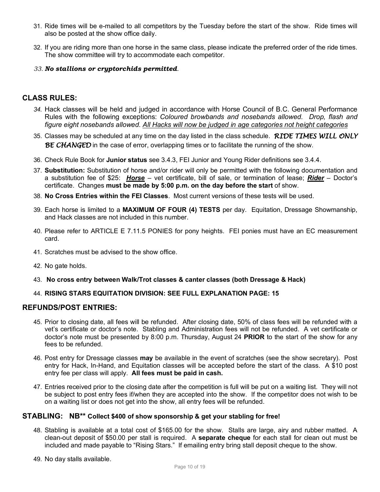- 31. Ride times will be e-mailed to all competitors by the Tuesday before the start of the show. Ride times will also be posted at the show office daily.
- 32. If you are riding more than one horse in the same class, please indicate the preferred order of the ride times. The show committee will try to accommodate each competitor.
- *33. No stallions or cryptorchids permitted.*

#### **CLASS RULES:**

- *34.* Hack classes will be held and judged in accordance with Horse Council of B.C. General Performance Rules with the following exceptions: *Coloured browbands and nosebands allowed. Drop, flash and figure eight nosebands allowed. All Hacks will now be judged in age categories not height categories*
- 35. Classes may be scheduled at any time on the day listed in the class schedule. *RIDE TIMES WILL ONLY*  **BE CHANGED** in the case of error, overlapping times or to facilitate the running of the show.
- 36. Check Rule Book for **Junior status** see 3.4.3, FEI Junior and Young Rider definitions see 3.4.4.
- 37. **Substitution:** Substitution of horse and/or rider will only be permitted with the following documentation and a substitution fee of \$25: *Horse* – vet certificate, bill of sale, or termination of lease; *Rider* – Doctor's certificate. Changes **must be made by 5:00 p.m. on the day before the start** of show.
- 38. **No Cross Entries within the FEI Classes**. Most current versions of these tests will be used.
- 39. Each horse is limited to a **MAXIMUM OF FOUR (4) TESTS** per day. Equitation, Dressage Showmanship, and Hack classes are not included in this number.
- 40. Please refer to ARTICLE E 7.11.5 PONIES for pony heights. FEI ponies must have an EC measurement card.
- 41. Scratches must be advised to the show office.
- 42. No gate holds.
- 43. **No cross entry between Walk/Trot classes & canter classes (both Dressage & Hack)**

#### 44. **RISING STARS EQUITATION DIVISION: SEE FULL EXPLANATION PAGE: 15**

#### **REFUNDS/POST ENTRIES:**

- 45. Prior to closing date, all fees will be refunded. After closing date, 50% of class fees will be refunded with a vet's certificate or doctor's note. Stabling and Administration fees will not be refunded. A vet certificate or doctor's note must be presented by 8:00 p.m. Thursday, August 24 **PRIOR** to the start of the show for any fees to be refunded.
- 46. Post entry for Dressage classes **may** be available in the event of scratches (see the show secretary). Post entry for Hack, In-Hand, and Equitation classes will be accepted before the start of the class. A \$10 post entry fee per class will apply. **All fees must be paid in cash.**
- 47. Entries received prior to the closing date after the competition is full will be put on a waiting list. They will not be subject to post entry fees if/when they are accepted into the show. If the competitor does not wish to be on a waiting list or does not get into the show, all entry fees will be refunded.

#### **STABLING: NB\*\* Collect \$400 of show sponsorship & get your stabling for free!**

- 48. Stabling is available at a total cost of \$165.00 for the show. Stalls are large, airy and rubber matted. A clean-out deposit of \$50.00 per stall is required. A **separate cheque** for each stall for clean out must be included and made payable to "Rising Stars." If emailing entry bring stall deposit cheque to the show.
- 49. No day stalls available.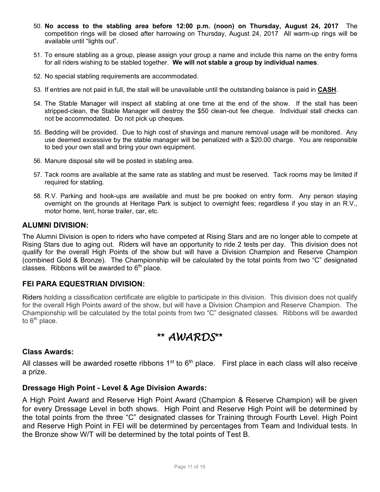- 50. **No access to the stabling area before 12:00 p.m. (noon) on Thursday, August 24, 2017** The competition rings will be closed after harrowing on Thursday, August 24, 2017 All warm-up rings will be available until "lights out".
- 51. To ensure stabling as a group, please assign your group a name and include this name on the entry forms for all riders wishing to be stabled together. **We will not stable a group by individual names**.
- 52. No special stabling requirements are accommodated.
- 53. If entries are not paid in full, the stall will be unavailable until the outstanding balance is paid in **CASH**.
- 54. The Stable Manager will inspect all stabling at one time at the end of the show. If the stall has been stripped-clean, the Stable Manager will destroy the \$50 clean-out fee cheque. Individual stall checks can not be accommodated. Do not pick up cheques.
- 55. Bedding will be provided. Due to high cost of shavings and manure removal usage will be monitored. Any use deemed excessive by the stable manager will be penalized with a \$20.00 charge. You are responsible to bed your own stall and bring your own equipment.
- 56. Manure disposal site will be posted in stabling area.
- 57. Tack rooms are available at the same rate as stabling and must be reserved. Tack rooms may be limited if required for stabling.
- 58. R.V. Parking and hook-ups are available and must be pre booked on entry form. Any person staying overnight on the grounds at Heritage Park is subject to overnight fees; regardless if you stay in an R.V., motor home, tent, horse trailer, car, etc.

#### **ALUMNI DIVISION:**

The Alumni Division is open to riders who have competed at Rising Stars and are no longer able to compete at Rising Stars due to aging out. Riders will have an opportunity to ride 2 tests per day. This division does not qualify for the overall High Points of the show but will have a Division Champion and Reserve Champion (combined Gold & Bronze). The Championship will be calculated by the total points from two "C" designated classes. Ribbons will be awarded to  $6<sup>th</sup>$  place.

#### **FEI PARA EQUESTRIAN DIVISION:**

Riders holding a classification certificate are eligible to participate in this division. This division does not qualify for the overall High Points award of the show, but will have a Division Champion and Reserve Champion. The Championship will be calculated by the total points from two "C" designated classes. Ribbons will be awarded to  $6<sup>th</sup>$  place.

## **\*\*** *AWARDS***\*\***

#### **Class Awards:**

All classes will be awarded rosette ribbons  $1<sup>st</sup>$  to  $6<sup>th</sup>$  place. First place in each class will also receive a prize.

#### **Dressage High Point - Level & Age Division Awards:**

A High Point Award and Reserve High Point Award (Champion & Reserve Champion) will be given for every Dressage Level in both shows. High Point and Reserve High Point will be determined by the total points from the three "C" designated classes for Training through Fourth Level. High Point and Reserve High Point in FEI will be determined by percentages from Team and Individual tests. In the Bronze show W/T will be determined by the total points of Test B.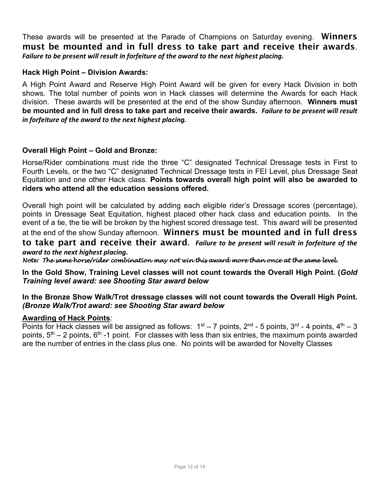These awards will be presented at the Parade of Champions on Saturday evening. Winners must be mounted and in full dress to take part and receive their awards. *Failure to be present will result in forfeiture of the award to the next highest placing.*

#### **Hack High Point – Division Awards:**

A High Point Award and Reserve High Point Award will be given for every Hack Division in both shows. The total number of points won in Hack classes will determine the Awards for each Hack division. These awards will be presented at the end of the show Sunday afternoon. **Winners must be mounted and in full dress to take part and receive their awards.** *Failure to be present will result in forfeiture of the award to the next highest placing.*

#### **Overall High Point – Gold and Bronze:**

Horse/Rider combinations must ride the three "C" designated Technical Dressage tests in First to Fourth Levels, or the two "C" designated Technical Dressage tests in FEI Level, plus Dressage Seat Equitation and one other Hack class. **Points towards overall high point will also be awarded to riders who attend all the education sessions offered.**

Overall high point will be calculated by adding each eligible rider's Dressage scores (percentage), points in Dressage Seat Equitation, highest placed other hack class and education points. In the event of a tie, the tie will be broken by the highest scored dressage test. This award will be presented at the end of the show Sunday afternoon. Winners must be mounted and in full dress

to take part and receive their award**.** *Failure to be present will result in forfeiture of the award to the next highest placing.*

*Note: The same horse/rider combination may not win this award more than once at the same level.* 

**In the Gold Show, Training Level classes will not count towards the Overall High Point. (***Gold Training level award: see Shooting Star award below*

#### **In the Bronze Show Walk/Trot dressage classes will not count towards the Overall High Point.** *(Bronze Walk/Trot award: see Shooting Star award below*

#### **Awarding of Hack Points**:

Points for Hack classes will be assigned as follows:  $1^{st} - 7$  points,  $2^{nd}$  - 5 points,  $3^{rd}$  - 4 points,  $4^{th} - 3$ points,  $5<sup>th</sup> - 2$  points,  $6<sup>th</sup> - 1$  point. For classes with less than six entries, the maximum points awarded are the number of entries in the class plus one. No points will be awarded for Novelty Classes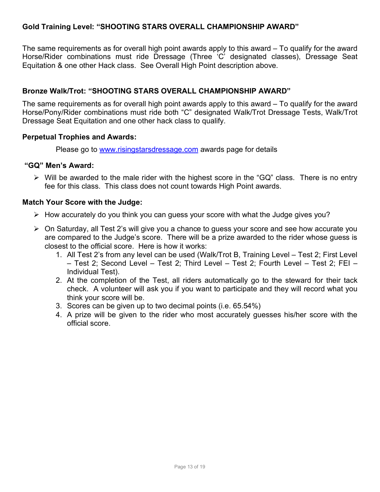#### **Gold Training Level: "SHOOTING STARS OVERALL CHAMPIONSHIP AWARD"**

The same requirements as for overall high point awards apply to this award – To qualify for the award Horse/Rider combinations must ride Dressage (Three 'C' designated classes), Dressage Seat Equitation & one other Hack class. See Overall High Point description above.

#### **Bronze Walk/Trot: "SHOOTING STARS OVERALL CHAMPIONSHIP AWARD"**

The same requirements as for overall high point awards apply to this award – To qualify for the award Horse/Pony/Rider combinations must ride both "C" designated Walk/Trot Dressage Tests, Walk/Trot Dressage Seat Equitation and one other hack class to qualify.

#### **Perpetual Trophies and Awards:**

Please go to www.risingstarsdressage.com awards page for details

#### **"GQ" Men's Award:**

 $\triangleright$  Will be awarded to the male rider with the highest score in the "GQ" class. There is no entry fee for this class. This class does not count towards High Point awards.

#### **Match Your Score with the Judge:**

- $\triangleright$  How accurately do you think you can guess your score with what the Judge gives you?
- $\triangleright$  On Saturday, all Test 2's will give you a chance to guess your score and see how accurate you are compared to the Judge's score. There will be a prize awarded to the rider whose guess is closest to the official score. Here is how it works:
	- 1. All Test 2's from any level can be used (Walk/Trot B, Training Level Test 2; First Level – Test 2; Second Level – Test 2; Third Level – Test 2; Fourth Level – Test 2; FEI – Individual Test).
	- 2. At the completion of the Test, all riders automatically go to the steward for their tack check. A volunteer will ask you if you want to participate and they will record what you think your score will be.
	- 3. Scores can be given up to two decimal points (i.e. 65.54%)
	- 4. A prize will be given to the rider who most accurately guesses his/her score with the official score.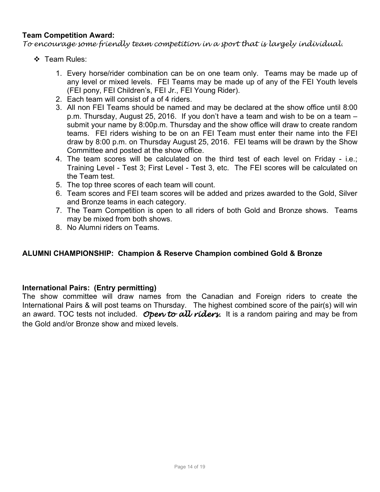#### **Team Competition Award:**

*To encourage some friendly team competition in a sport that is largely individual.*

- ❖ Team Rules:
	- 1. Every horse/rider combination can be on one team only. Teams may be made up of any level or mixed levels. FEI Teams may be made up of any of the FEI Youth levels (FEI pony, FEI Children's, FEI Jr., FEI Young Rider).
	- 2. Each team will consist of a of 4 riders.
	- 3. All non FEI Teams should be named and may be declared at the show office until 8:00 p.m. Thursday, August 25, 2016. If you don't have a team and wish to be on a team – submit your name by 8:00p.m. Thursday and the show office will draw to create random teams. FEI riders wishing to be on an FEI Team must enter their name into the FEI draw by 8:00 p.m. on Thursday August 25, 2016. FEI teams will be drawn by the Show Committee and posted at the show office.
	- 4. The team scores will be calculated on the third test of each level on Friday i.e.; Training Level - Test 3; First Level - Test 3, etc. The FEI scores will be calculated on the Team test.
	- 5. The top three scores of each team will count.
	- 6. Team scores and FEI team scores will be added and prizes awarded to the Gold, Silver and Bronze teams in each category.
	- 7. The Team Competition is open to all riders of both Gold and Bronze shows. Teams may be mixed from both shows.
	- 8. No Alumni riders on Teams.

#### **ALUMNI CHAMPIONSHIP: Champion & Reserve Champion combined Gold & Bronze**

#### **International Pairs: (Entry permitting)**

The show committee will draw names from the Canadian and Foreign riders to create the International Pairs & will post teams on Thursday. The highest combined score of the pair(s) will win an award. TOC tests not included. *Open to all riders.* It is a random pairing and may be from the Gold and/or Bronze show and mixed levels.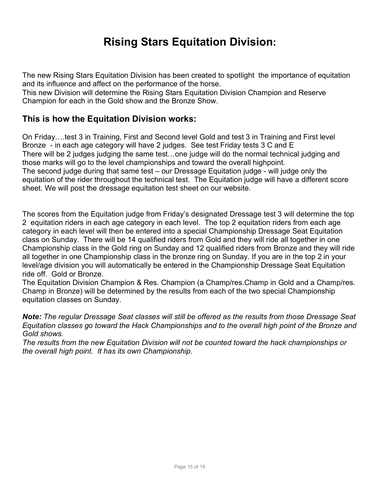# **Rising Stars Equitation Division:**

The new Rising Stars Equitation Division has been created to spotlight the importance of equitation and its influence and affect on the performance of the horse.

This new Division will determine the Rising Stars Equitation Division Champion and Reserve Champion for each in the Gold show and the Bronze Show.

#### **This is how the Equitation Division works:**

On Friday….test 3 in Training, First and Second level Gold and test 3 in Training and First level Bronze - in each age category will have 2 judges. See test Friday tests 3 C and E There will be 2 judges judging the same test…one judge will do the normal technical judging and those marks will go to the level championships and toward the overall highpoint. The second judge during that same test – our Dressage Equitation judge - will judge only the equitation of the rider throughout the technical test. The Equitation judge will have a different score sheet. We will post the dressage equitation test sheet on our website.

The scores from the Equitation judge from Friday's designated Dressage test 3 will determine the top 2 equitation riders in each age category in each level. The top 2 equitation riders from each age category in each level will then be entered into a special Championship Dressage Seat Equitation class on Sunday. There will be 14 qualified riders from Gold and they will ride all together in one Championship class in the Gold ring on Sunday and 12 qualified riders from Bronze and they will ride all together in one Championship class in the bronze ring on Sunday. If you are in the top 2 in your level/age division you will automatically be entered in the Championship Dressage Seat Equitation ride off. Gold or Bronze.

The Equitation Division Champion & Res. Champion (a Champ/res.Champ in Gold and a Champ/res. Champ in Bronze) will be determined by the results from each of the two special Championship equitation classes on Sunday.

*Note: The regular Dressage Seat classes will still be offered as the results from those Dressage Seat Equitation classes go toward the Hack Championships and to the overall high point of the Bronze and Gold shows.*

*The results from the new Equitation Division will not be counted toward the hack championships or the overall high point. It has its own Championship.*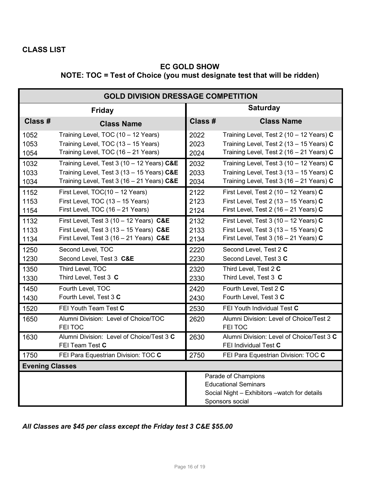#### **EC GOLD SHOW NOTE: TOC = Test of Choice (you must designate test that will be ridden)**

| <b>GOLD DIVISION DRESSAGE COMPETITION</b> |                                                                                                                                        |                      |                                                                                                                                   |
|-------------------------------------------|----------------------------------------------------------------------------------------------------------------------------------------|----------------------|-----------------------------------------------------------------------------------------------------------------------------------|
|                                           | <b>Friday</b>                                                                                                                          |                      | <b>Saturday</b>                                                                                                                   |
| Class #                                   | <b>Class Name</b>                                                                                                                      | Class #              | <b>Class Name</b>                                                                                                                 |
| 1052<br>1053<br>1054                      | Training Level, TOC (10 - 12 Years)<br>Training Level, TOC (13 - 15 Years)<br>Training Level, TOC (16 - 21 Years)                      | 2022<br>2023<br>2024 | Training Level, Test 2 (10 - 12 Years) C<br>Training Level, Test 2 (13 - 15 Years) C<br>Training Level, Test 2 (16 - 21 Years) C  |
| 1032<br>1033<br>1034                      | Training Level, Test 3 (10 - 12 Years) C&E<br>Training Level, Test 3 (13 - 15 Years) C&E<br>Training Level, Test 3 (16 - 21 Years) C&E | 2032<br>2033<br>2034 | Training Level, Test 3 (10 - 12 Years) C<br>Training Level, Test $3(13 - 15$ Years) C<br>Training Level, Test 3 (16 - 21 Years) C |
| 1152<br>1153<br>1154                      | First Level, TOC(10 - 12 Years)<br>First Level, TOC (13 - 15 Years)<br>First Level, TOC (16 - 21 Years)                                | 2122<br>2123<br>2124 | First Level, Test 2 (10 - 12 Years) $C$<br>First Level, Test 2 (13 - 15 Years) C<br>First Level, Test 2 (16 - 21 Years) C         |
| 1132<br>1133<br>1134                      | First Level, Test $3(10 - 12$ Years) C&E<br>First Level, Test $3(13 - 15$ Years) C&E<br>First Level, Test $3(16 - 21$ Years) C&E       | 2132<br>2133<br>2134 | First Level, Test $3(10 - 12$ Years) C<br>First Level, Test 3 (13 - 15 Years) C<br>First Level, Test 3 (16 - 21 Years) C          |
| 1250<br>1230                              | Second Level, TOC<br>Second Level, Test 3 C&E                                                                                          | 2220<br>2230         | Second Level, Test 2 C<br>Second Level, Test 3 C                                                                                  |
| 1350<br>1330                              | Third Level, TOC<br>Third Level, Test 3 C                                                                                              | 2320<br>2330         | Third Level, Test 2 C<br>Third Level, Test 3 C                                                                                    |
| 1450<br>1430                              | Fourth Level, TOC<br>Fourth Level, Test 3 C                                                                                            | 2420<br>2430         | Fourth Level, Test 2 C<br>Fourth Level, Test 3 C                                                                                  |
| 1520                                      | FEI Youth Team Test C                                                                                                                  | 2530                 | FEI Youth Individual Test C                                                                                                       |
| 1650                                      | Alumni Division: Level of Choice/TOC<br>FEI TOC                                                                                        | 2620                 | Alumni Division: Level of Choice/Test 2<br>FEI TOC                                                                                |
| 1630                                      | Alumni Division: Level of Choice/Test 3 C<br>FEI Team Test C                                                                           | 2630                 | Alumni Division: Level of Choice/Test 3 C<br>FEI Individual Test C                                                                |
| 1750                                      | FEI Para Equestrian Division: TOC C                                                                                                    | 2750                 | FEI Para Equestrian Division: TOC C                                                                                               |
| <b>Evening Classes</b>                    |                                                                                                                                        |                      |                                                                                                                                   |
|                                           |                                                                                                                                        |                      | Parade of Champions<br><b>Educational Seminars</b><br>Social Night - Exhibitors -watch for details<br>Sponsors social             |

*All Classes are \$45 per class except the Friday test 3 C&E \$55.00*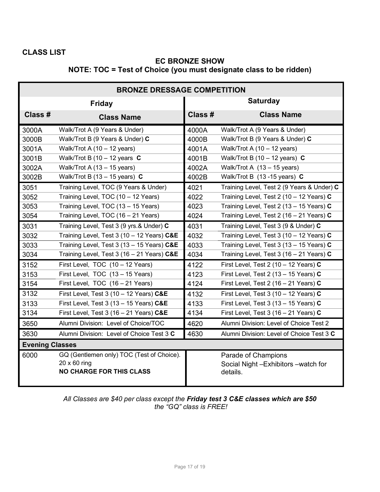#### **CLASS LIST**

#### **EC BRONZE SHOW NOTE: TOC = Test of Choice (you must designate class to be ridden)**

|                        | <b>BRONZE DRESSAGE COMPETITION</b>                     |         |                                                 |
|------------------------|--------------------------------------------------------|---------|-------------------------------------------------|
|                        | <b>Friday</b>                                          |         | <b>Saturday</b>                                 |
| Class #                | <b>Class Name</b>                                      | Class # | <b>Class Name</b>                               |
| 3000A                  | Walk/Trot A (9 Years & Under)                          | 4000A   | Walk/Trot A (9 Years & Under)                   |
| 3000B                  | Walk/Trot B (9 Years & Under) C                        | 4000B   | Walk/Trot B (9 Years & Under) C                 |
| 3001A                  | Walk/Trot A $(10 - 12$ years)                          | 4001A   | Walk/Trot A $(10 - 12$ years)                   |
| 3001B                  | Walk/Trot B (10 - 12 years $C$                         | 4001B   | Walk/Trot B (10 - 12 years) $C$                 |
| 3002A                  | Walk/Trot A $(13 - 15$ years)                          | 4002A   | Walk/Trot A $(13 - 15$ years)                   |
| 3002B                  | Walk/Trot B $(13 - 15$ years) C                        | 4002B   | Walk/Trot B (13 -15 years) C                    |
| 3051                   | Training Level, TOC (9 Years & Under)                  | 4021    | Training Level, Test 2 (9 Years & Under) C      |
| 3052                   | Training Level, TOC (10 - 12 Years)                    | 4022    | Training Level, Test 2 (10 - 12 Years) C        |
| 3053                   | Training Level, TOC (13 - 15 Years)                    | 4023    | Training Level, Test 2 (13 - 15 Years) C        |
| 3054                   | Training Level, TOC (16 - 21 Years)                    | 4024    | Training Level, Test 2 (16 - 21 Years) C        |
| 3031                   | Training Level, Test 3 (9 yrs.& Under) C               | 4031    | Training Level, Test 3 (9 & Under) C            |
| 3032                   | Training Level, Test 3 (10 - 12 Years) C&E             | 4032    | Training Level, Test 3 (10 - 12 Years) C        |
| 3033                   | Training Level, Test 3 (13 - 15 Years) C&E             | 4033    | Training Level, Test $3(13 - 15$ Years) C       |
| 3034                   | Training Level, Test 3 (16 - 21 Years) C&E             | 4034    | Training Level, Test 3 (16 - 21 Years) C        |
| 3152                   | First Level, TOC (10 - 12 Years)                       | 4122    | First Level, Test 2 (10 - 12 Years) $C$         |
| 3153                   | First Level, TOC (13 - 15 Years)                       | 4123    | First Level, Test 2 (13 – 15 Years) $C$         |
| 3154                   | First Level, TOC (16 - 21 Years)                       | 4124    | First Level, Test 2 (16 – 21 Years) $C$         |
| 3132                   | First Level, Test 3 (10 - 12 Years) C&E                | 4132    | First Level, Test 3 (10 - 12 Years) $C$         |
| 3133                   | First Level, Test 3 (13 - 15 Years) C&E                | 4133    | First Level, Test 3 (13 – 15 Years) $C$         |
| 3134                   | First Level, Test 3 (16 - 21 Years) $CAE$              | 4134    | First Level, Test 3 (16 – 21 Years) $C$         |
| 3650                   | Alumni Division: Level of Choice/TOC                   | 4620    | Alumni Division: Level of Choice Test 2         |
| 3630                   | Alumni Division: Level of Choice Test 3 C              | 4630    | Alumni Division: Level of Choice Test 3 C       |
| <b>Evening Classes</b> |                                                        |         |                                                 |
| 6000                   | GQ (Gentlemen only) TOC (Test of Choice).              |         | Parade of Champions                             |
|                        | $20 \times 60$ ring<br><b>NO CHARGE FOR THIS CLASS</b> |         | Social Night -Exhibitors -watch for<br>details. |

*All Classes are \$40 per class except the Friday test 3 C&E classes which are \$50 the "GQ" class is FREE!*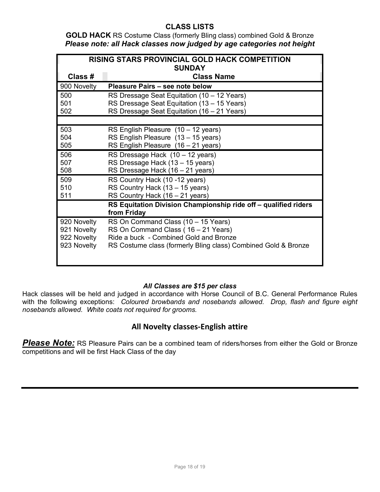#### **CLASS LISTS**

| <b>GOLD HACK</b> RS Costume Class (formerly Bling class) combined Gold & Bronze |
|---------------------------------------------------------------------------------|
| Please note: all Hack classes now judged by age categories not height           |

| <b>RISING STARS PROVINCIAL GOLD HACK COMPETITION</b> |                                                                 |  |
|------------------------------------------------------|-----------------------------------------------------------------|--|
| <b>SUNDAY</b>                                        |                                                                 |  |
| Class #                                              | <b>Class Name</b>                                               |  |
| 900 Novelty                                          | Pleasure Pairs – see note below                                 |  |
| 500                                                  | RS Dressage Seat Equitation (10 - 12 Years)                     |  |
| 501                                                  | RS Dressage Seat Equitation (13 - 15 Years)                     |  |
| 502                                                  | RS Dressage Seat Equitation (16 - 21 Years)                     |  |
|                                                      |                                                                 |  |
| 503                                                  | RS English Pleasure $(10 - 12 \text{ years})$                   |  |
| 504                                                  | RS English Pleasure $(13 - 15$ years)                           |  |
| 505                                                  | RS English Pleasure $(16 - 21$ years)                           |  |
| 506                                                  | RS Dressage Hack $(10 - 12 \text{ years})$                      |  |
| 507                                                  | RS Dressage Hack (13 - 15 years)                                |  |
| 508                                                  | RS Dressage Hack (16 – 21 years)                                |  |
| 509                                                  | RS Country Hack (10 -12 years)                                  |  |
| 510                                                  | RS Country Hack (13 - 15 years)                                 |  |
| 511                                                  | RS Country Hack (16 - 21 years)                                 |  |
|                                                      | RS Equitation Division Championship ride off – qualified riders |  |
|                                                      | from Friday                                                     |  |
| 920 Novelty                                          | RS On Command Class (10 - 15 Years)                             |  |
| 921 Novelty                                          | RS On Command Class (16 - 21 Years)                             |  |
| 922 Novelty                                          | Ride a buck - Combined Gold and Bronze                          |  |
| 923 Novelty                                          | RS Costume class (formerly Bling class) Combined Gold & Bronze  |  |
|                                                      |                                                                 |  |
|                                                      |                                                                 |  |

#### *All Classes are \$15 per class*

Hack classes will be held and judged in accordance with Horse Council of B.C. General Performance Rules with the following exceptions: *Coloured browbands and nosebands allowed. Drop, flash and figure eight nosebands allowed. White coats not required for grooms.*

#### **All Novelty classes-English attire**

**Please Note:** RS Pleasure Pairs can be a combined team of riders/horses from either the Gold or Bronze competitions and will be first Hack Class of the day